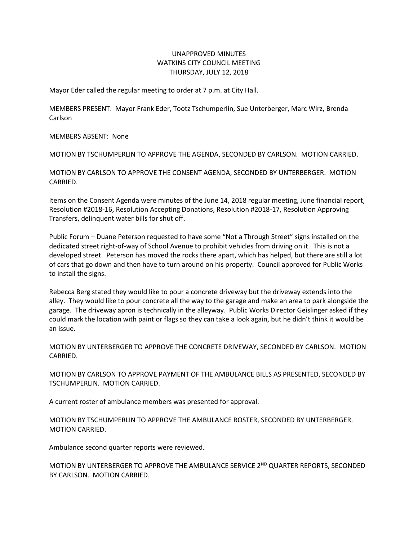## UNAPPROVED MINUTES WATKINS CITY COUNCIL MEETING THURSDAY, JULY 12, 2018

Mayor Eder called the regular meeting to order at 7 p.m. at City Hall.

MEMBERS PRESENT: Mayor Frank Eder, Tootz Tschumperlin, Sue Unterberger, Marc Wirz, Brenda Carlson

MEMBERS ABSENT: None

MOTION BY TSCHUMPERLIN TO APPROVE THE AGENDA, SECONDED BY CARLSON. MOTION CARRIED.

MOTION BY CARLSON TO APPROVE THE CONSENT AGENDA, SECONDED BY UNTERBERGER. MOTION CARRIED.

Items on the Consent Agenda were minutes of the June 14, 2018 regular meeting, June financial report, Resolution #2018-16, Resolution Accepting Donations, Resolution #2018-17, Resolution Approving Transfers, delinquent water bills for shut off.

Public Forum – Duane Peterson requested to have some "Not a Through Street" signs installed on the dedicated street right-of-way of School Avenue to prohibit vehicles from driving on it. This is not a developed street. Peterson has moved the rocks there apart, which has helped, but there are still a lot of cars that go down and then have to turn around on his property. Council approved for Public Works to install the signs.

Rebecca Berg stated they would like to pour a concrete driveway but the driveway extends into the alley. They would like to pour concrete all the way to the garage and make an area to park alongside the garage. The driveway apron is technically in the alleyway. Public Works Director Geislinger asked if they could mark the location with paint or flags so they can take a look again, but he didn't think it would be an issue.

MOTION BY UNTERBERGER TO APPROVE THE CONCRETE DRIVEWAY, SECONDED BY CARLSON. MOTION CARRIED.

MOTION BY CARLSON TO APPROVE PAYMENT OF THE AMBULANCE BILLS AS PRESENTED, SECONDED BY TSCHUMPERLIN. MOTION CARRIED.

A current roster of ambulance members was presented for approval.

MOTION BY TSCHUMPERLIN TO APPROVE THE AMBULANCE ROSTER, SECONDED BY UNTERBERGER. MOTION CARRIED.

Ambulance second quarter reports were reviewed.

MOTION BY UNTERBERGER TO APPROVE THE AMBULANCE SERVICE 2<sup>ND</sup> QUARTER REPORTS, SECONDED BY CARLSON. MOTION CARRIED.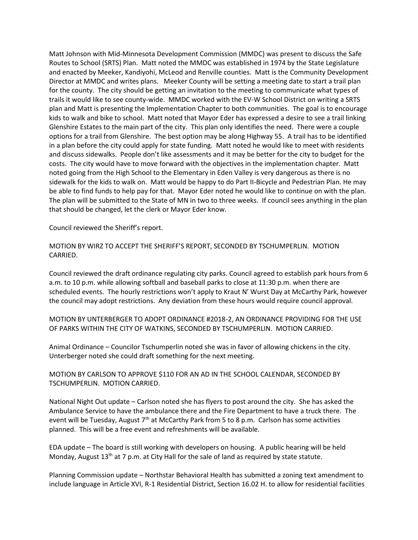Matt Johnson with Mid-Minnesota Development Commission (MMDC) was present to discuss the Safe Routes to School (SRTS) Plan. Matt noted the MMDC was established in 1974 by the State Legislature and enacted by Meeker, Kandiyohi, McLeod and Renville counties. Matt is the Community Development Director at MMDC and writes plans. Meeker County will be setting a meeting date to start a trail plan for the county. The city should be getting an invitation to the meeting to communicate what types of trails it would like to see county-wide. MMDC worked with the EV-W School District on writing a SRTS plan and Matt is presenting the Implementation Chapter to both communities. The goal is to encourage kids to walk and bike to school. Matt noted that Mayor Eder has expressed a desire to see a trail linking Glenshire Estates to the main part of the city. This plan only identifies the need. There were a couple options for a trail from Glenshire. The best option may be along Highway 55. A trail has to be identified in a plan before the city could apply for state funding. Matt noted he would like to meet with residents and discuss sidewalks. People don't like assessments and it may be better for the city to budget for the costs. The city would have to move forward with the objectives in the implementation chapter. Matt noted going from the High School to the Elementary in Eden Valley is very dangerous as there is no sidewalk for the kids to walk on. Matt would be happy to do Part II-Bicycle and Pedestrian Plan. He may be able to find funds to help pay for that. Mayor Eder noted he would like to continue on with the plan. The plan will be submitted to the State of MN in two to three weeks. If council sees anything in the plan that should be changed, let the clerk or Mayor Eder know.

Council reviewed the Sheriff's report.

MOTION BY WIRZ TO ACCEPT THE SHERIFF'S REPORT, SECONDED BY TSCHUMPERLIN. MOTION CARRIED.

Council reviewed the draft ordinance regulating city parks. Council agreed to establish park hours from 6 a.m. to 10 p.m. while allowing softball and baseball parks to close at 11:30 p.m. when there are scheduled events. The hourly restrictions won't apply to Kraut N' Wurst Day at McCarthy Park, however the council may adopt restrictions. Any deviation from these hours would require council approval.

MOTION BY UNTERBERGER TO ADOPT ORDINANCE #2018-2, AN ORDINANCE PROVIDING FOR THE USE OF PARKS WITHIN THE CITY OF WATKINS, SECONDED BY TSCHUMPERLIN. MOTION CARRIED.

Animal Ordinance – Councilor Tschumperlin noted she was in favor of allowing chickens in the city. Unterberger noted she could draft something for the next meeting.

## MOTION BY CARLSON TO APPROVE \$110 FOR AN AD IN THE SCHOOL CALENDAR, SECONDED BY TSCHUMPERLIN. MOTION CARRIED.

National Night Out update – Carlson noted she has flyers to post around the city. She has asked the Ambulance Service to have the ambulance there and the Fire Department to have a truck there. The event will be Tuesday, August  $7<sup>th</sup>$  at McCarthy Park from 5 to 8 p.m. Carlson has some activities planned. This will be a free event and refreshments will be available.

EDA update – The board is still working with developers on housing. A public hearing will be held Monday, August  $13<sup>th</sup>$  at 7 p.m. at City Hall for the sale of land as required by state statute.

Planning Commission update – Northstar Behavioral Health has submitted a zoning text amendment to include language in Article XVI, R-1 Residential District, Section 16.02 H. to allow for residential facilities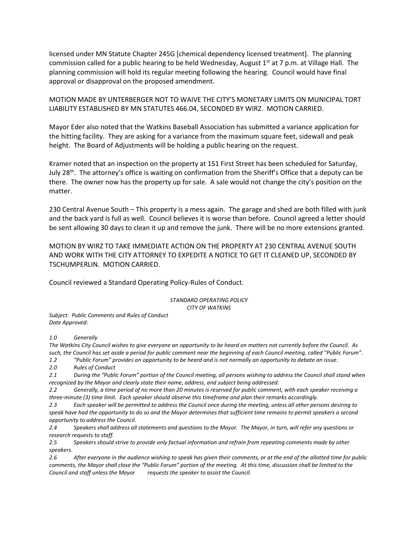licensed under MN Statute Chapter 245G [chemical dependency licensed treatment]. The planning commission called for a public hearing to be held Wednesday, August  $1<sup>st</sup>$  at 7 p.m. at Village Hall. The planning commission will hold its regular meeting following the hearing. Council would have final approval or disapproval on the proposed amendment.

MOTION MADE BY UNTERBERGER NOT TO WAIVE THE CITY'S MONETARY LIMITS ON MUNICIPAL TORT LIABILITY ESTABLISHED BY MN STATUTES 466.04, SECONDED BY WIRZ. MOTION CARRIED.

Mayor Eder also noted that the Watkins Baseball Association has submitted a variance application for the hitting facility. They are asking for a variance from the maximum square feet, sidewall and peak height. The Board of Adjustments will be holding a public hearing on the request.

Kramer noted that an inspection on the property at 151 First Street has been scheduled for Saturday, July 28<sup>th</sup>. The attorney's office is waiting on confirmation from the Sheriff's Office that a deputy can be there. The owner now has the property up for sale. A sale would not change the city's position on the matter.

230 Central Avenue South – This property is a mess again. The garage and shed are both filled with junk and the back yard is full as well. Council believes it is worse than before. Council agreed a letter should be sent allowing 30 days to clean it up and remove the junk. There will be no more extensions granted.

MOTION BY WIRZ TO TAKE IMMEDIATE ACTION ON THE PROPERTY AT 230 CENTRAL AVENUE SOUTH AND WORK WITH THE CITY ATTORNEY TO EXPEDITE A NOTICE TO GET IT CLEANED UP, SECONDED BY TSCHUMPERLIN. MOTION CARRIED.

Council reviewed a Standard Operating Policy-Rules of Conduct.

*STANDARD OPERATING POLICY CITY OF WATKINS*

*Subject: Public Comments and Rules of Conduct Date Approved:*

*1.0 Generally*

*The Watkins City Council wishes to give everyone an opportunity to be heard on matters not currently before the Council. As such, the Council has set aside a period for public comment near the beginning of each Council meeting, called "Public Forum". 1.2 "Public Forum" provides an opportunity to be heard and is not normally an opportunity to debate an issue.*

*2.0 Rules of Conduct*

*2.1 During the "Public Forum" portion of the Council meeting, all persons wishing to address the Council shall stand when recognized by the Mayor and clearly state their name, address, and subject being addressed.*

*2.2 Generally, a time period of no more than 20 minutes is reserved for public comment, with each speaker receiving a three-minute (3) time limit. Each speaker should observe this timeframe and plan their remarks accordingly.*

*2.3 Each speaker will be permitted to address the Council once during the meeting, unless all other persons desiring to speak have had the opportunity to do so and the Mayor determines that sufficient time remains to permit speakers a second opportunity to address the Council.*

*2.4 Speakers shall address all statements and questions to the Mayor. The Mayor, in turn, will refer any questions or research requests to staff.*

*2.5 Speakers should strive to provide only factual information and refrain from repeating comments made by other speakers.*

*2.6 After everyone in the audience wishing to speak has given their comments, or at the end of the allotted time for public comments, the Mayor shall close the "Public Forum" portion of the meeting. At this time, discussion shall be limited to the Council and staff unless the Mayor requests the speaker to assist the Council.*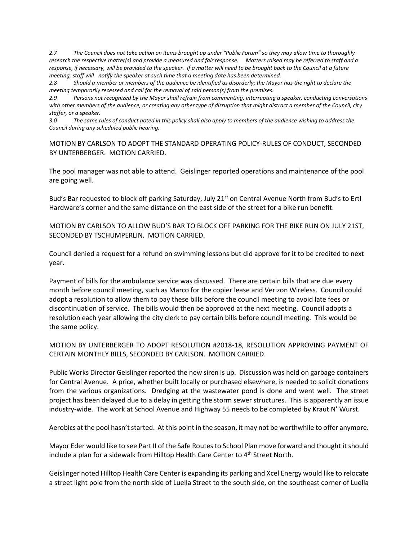*2.7 The Council does not take action on items brought up under "Public Forum" so they may allow time to thoroughly research the respective matter(s) and provide a measured and fair response. Matters raised may be referred to staff and a response, if necessary, will be provided to the speaker. If a matter will need to be brought back to the Council at a future meeting, staff will notify the speaker at such time that a meeting date has been determined.*

*2.8 Should a member or members of the audience be identified as disorderly; the Mayor has the right to declare the meeting temporarily recessed and call for the removal of said person(s) from the premises.*

*2.9 Persons not recognized by the Mayor shall refrain from commenting, interrupting a speaker, conducting conversations with other members of the audience, or creating any other type of disruption that might distract a member of the Council, city staffer, or a speaker.*

*3.0 The same rules of conduct noted in this policy shall also apply to members of the audience wishing to address the Council during any scheduled public hearing.*

MOTION BY CARLSON TO ADOPT THE STANDARD OPERATING POLICY-RULES OF CONDUCT, SECONDED BY UNTERBERGER. MOTION CARRIED.

The pool manager was not able to attend. Geislinger reported operations and maintenance of the pool are going well.

Bud's Bar requested to block off parking Saturday, July 21<sup>st</sup> on Central Avenue North from Bud's to Ertl Hardware's corner and the same distance on the east side of the street for a bike run benefit.

MOTION BY CARLSON TO ALLOW BUD'S BAR TO BLOCK OFF PARKING FOR THE BIKE RUN ON JULY 21ST, SECONDED BY TSCHUMPERLIN. MOTION CARRIED.

Council denied a request for a refund on swimming lessons but did approve for it to be credited to next year.

Payment of bills for the ambulance service was discussed. There are certain bills that are due every month before council meeting, such as Marco for the copier lease and Verizon Wireless. Council could adopt a resolution to allow them to pay these bills before the council meeting to avoid late fees or discontinuation of service. The bills would then be approved at the next meeting. Council adopts a resolution each year allowing the city clerk to pay certain bills before council meeting. This would be the same policy.

## MOTION BY UNTERBERGER TO ADOPT RESOLUTION #2018-18, RESOLUTION APPROVING PAYMENT OF CERTAIN MONTHLY BILLS, SECONDED BY CARLSON. MOTION CARRIED.

Public Works Director Geislinger reported the new siren is up. Discussion was held on garbage containers for Central Avenue. A price, whether built locally or purchased elsewhere, is needed to solicit donations from the various organizations. Dredging at the wastewater pond is done and went well. The street project has been delayed due to a delay in getting the storm sewer structures. This is apparently an issue industry-wide. The work at School Avenue and Highway 55 needs to be completed by Kraut N' Wurst.

Aerobics at the pool hasn't started. At this point in the season, it may not be worthwhile to offer anymore.

Mayor Eder would like to see Part II of the Safe Routes to School Plan move forward and thought it should include a plan for a sidewalk from Hilltop Health Care Center to 4<sup>th</sup> Street North.

Geislinger noted Hilltop Health Care Center is expanding its parking and Xcel Energy would like to relocate a street light pole from the north side of Luella Street to the south side, on the southeast corner of Luella